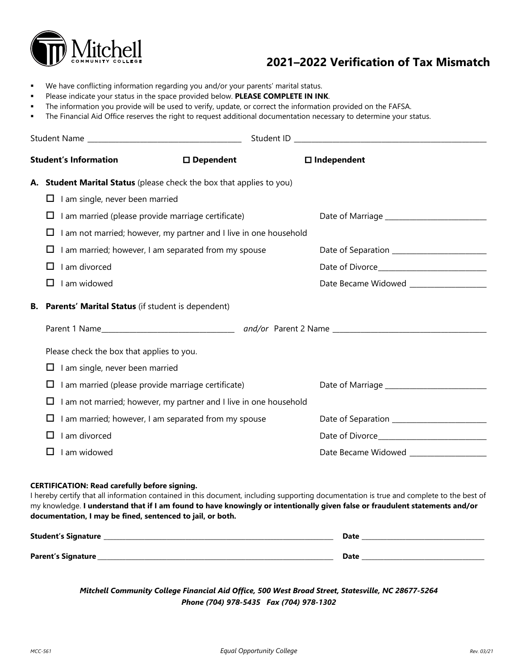

# **2021–2022 Verification of Tax Mismatch**

- We have conflicting information regarding you and/or your parents' marital status.
- Please indicate your status in the space provided below. **PLEASE COMPLETE IN INK**.
- The information you provide will be used to verify, update, or correct the information provided on the FAFSA.
- The Financial Aid Office reserves the right to request additional documentation necessary to determine your status.

| <b>Student's Information</b>                              | $\square$ Dependent                                                  | $\square$ Independent                      |  |
|-----------------------------------------------------------|----------------------------------------------------------------------|--------------------------------------------|--|
|                                                           | A. Student Marital Status (please check the box that applies to you) |                                            |  |
| $\Box$ I am single, never been married                    |                                                                      |                                            |  |
| I am married (please provide marriage certificate)<br>⊔   |                                                                      |                                            |  |
| ⊔                                                         | I am not married; however, my partner and I live in one household    |                                            |  |
| Ц                                                         | I am married; however, I am separated from my spouse                 | Date of Separation _______________________ |  |
| I am divorced<br>ப                                        |                                                                      |                                            |  |
| I am widowed<br>⊔                                         |                                                                      | Date Became Widowed __________________     |  |
| B. Parents' Marital Status (if student is dependent)      |                                                                      |                                            |  |
|                                                           |                                                                      |                                            |  |
| Please check the box that applies to you.                 |                                                                      |                                            |  |
| I am single, never been married<br>Ц                      |                                                                      |                                            |  |
| I am married (please provide marriage certificate)<br>Ц   |                                                                      |                                            |  |
| Ц                                                         | I am not married; however, my partner and I live in one household    |                                            |  |
| I am married; however, I am separated from my spouse<br>Ц |                                                                      |                                            |  |
| I am divorced<br>$\mathbf{L}$                             |                                                                      |                                            |  |
| I am widowed                                              |                                                                      |                                            |  |

#### **CERTIFICATION: Read carefully before signing.**

I hereby certify that all information contained in this document, including supporting documentation is true and complete to the best of my knowledge. **I understand that if I am found to have knowingly or intentionally given false or fraudulent statements and/or documentation, I may be fined, sentenced to jail, or both.** 

| <b>Student's Signature</b> | Date |
|----------------------------|------|
| Parent's Signature_        | Date |

*Mitchell Community College Financial Aid Office, 500 West Broad Street, Statesville, NC 28677-5264 Phone (704) 978-5435 Fax (704) 978-1302*